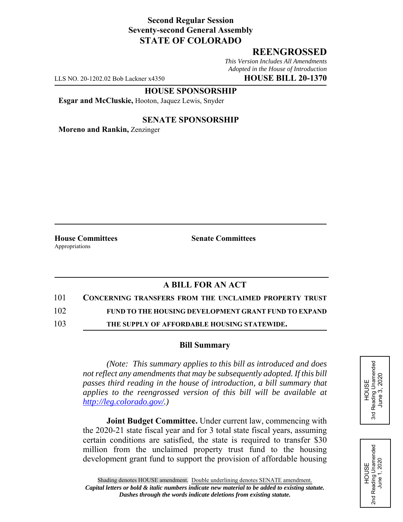### **Second Regular Session Seventy-second General Assembly STATE OF COLORADO**

# **REENGROSSED**

*This Version Includes All Amendments Adopted in the House of Introduction*

LLS NO. 20-1202.02 Bob Lackner x4350 **HOUSE BILL 20-1370**

#### **HOUSE SPONSORSHIP**

**Esgar and McCluskie,** Hooton, Jaquez Lewis, Snyder

### **SENATE SPONSORSHIP**

**Moreno and Rankin,** Zenzinger

Appropriations

**House Committees Senate Committees** 

# **A BILL FOR AN ACT**

101 **CONCERNING TRANSFERS FROM THE UNCLAIMED PROPERTY TRUST**

102 **FUND TO THE HOUSING DEVELOPMENT GRANT FUND TO EXPAND**

103 **THE SUPPLY OF AFFORDABLE HOUSING STATEWIDE.**

#### **Bill Summary**

*(Note: This summary applies to this bill as introduced and does not reflect any amendments that may be subsequently adopted. If this bill passes third reading in the house of introduction, a bill summary that applies to the reengrossed version of this bill will be available at http://leg.colorado.gov/.)*

**Joint Budget Committee.** Under current law, commencing with the 2020-21 state fiscal year and for 3 total state fiscal years, assuming certain conditions are satisfied, the state is required to transfer \$30 million from the unclaimed property trust fund to the housing development grant fund to support the provision of affordable housing